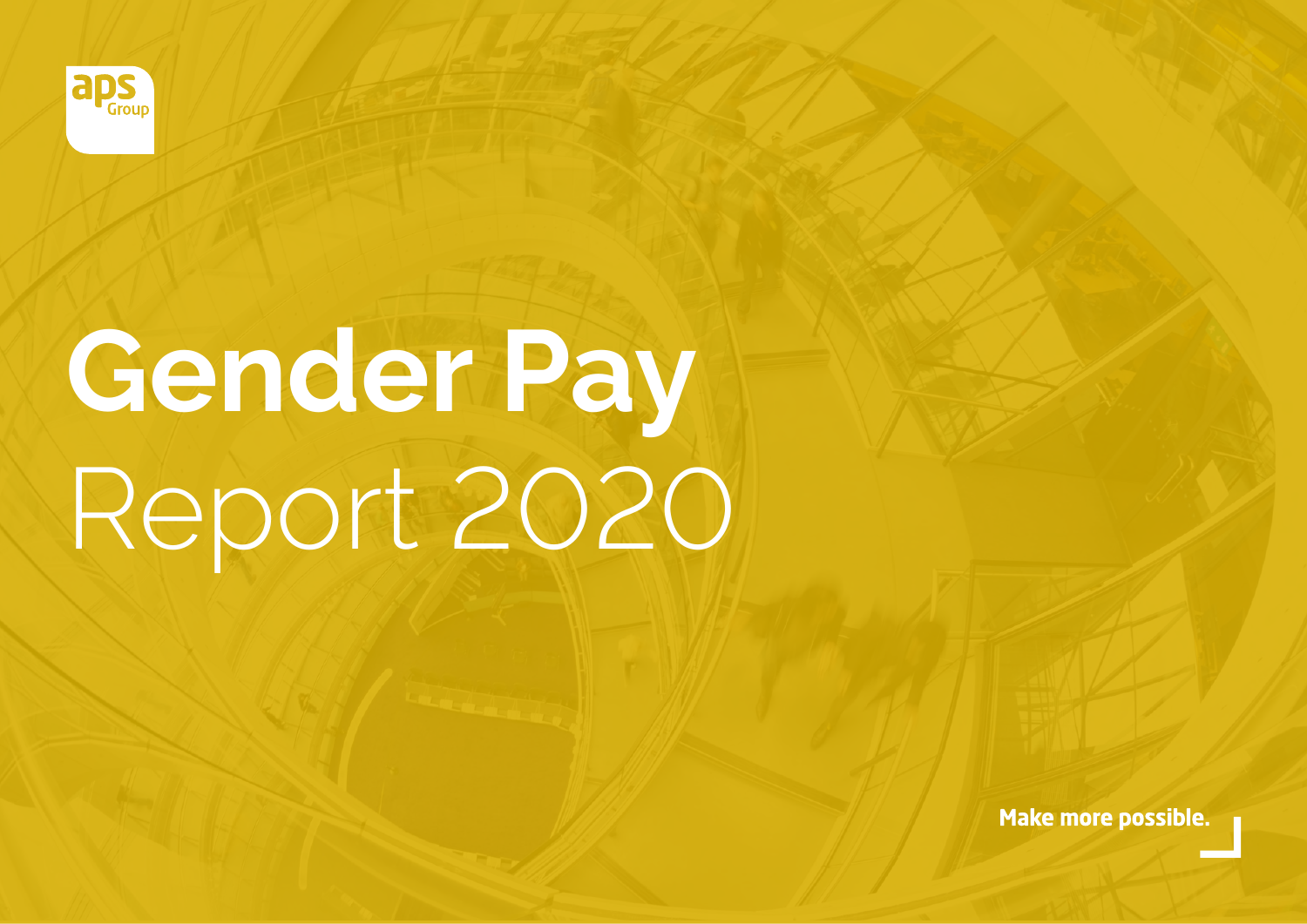

# **Gender Pay** Report 2020

Make more possible.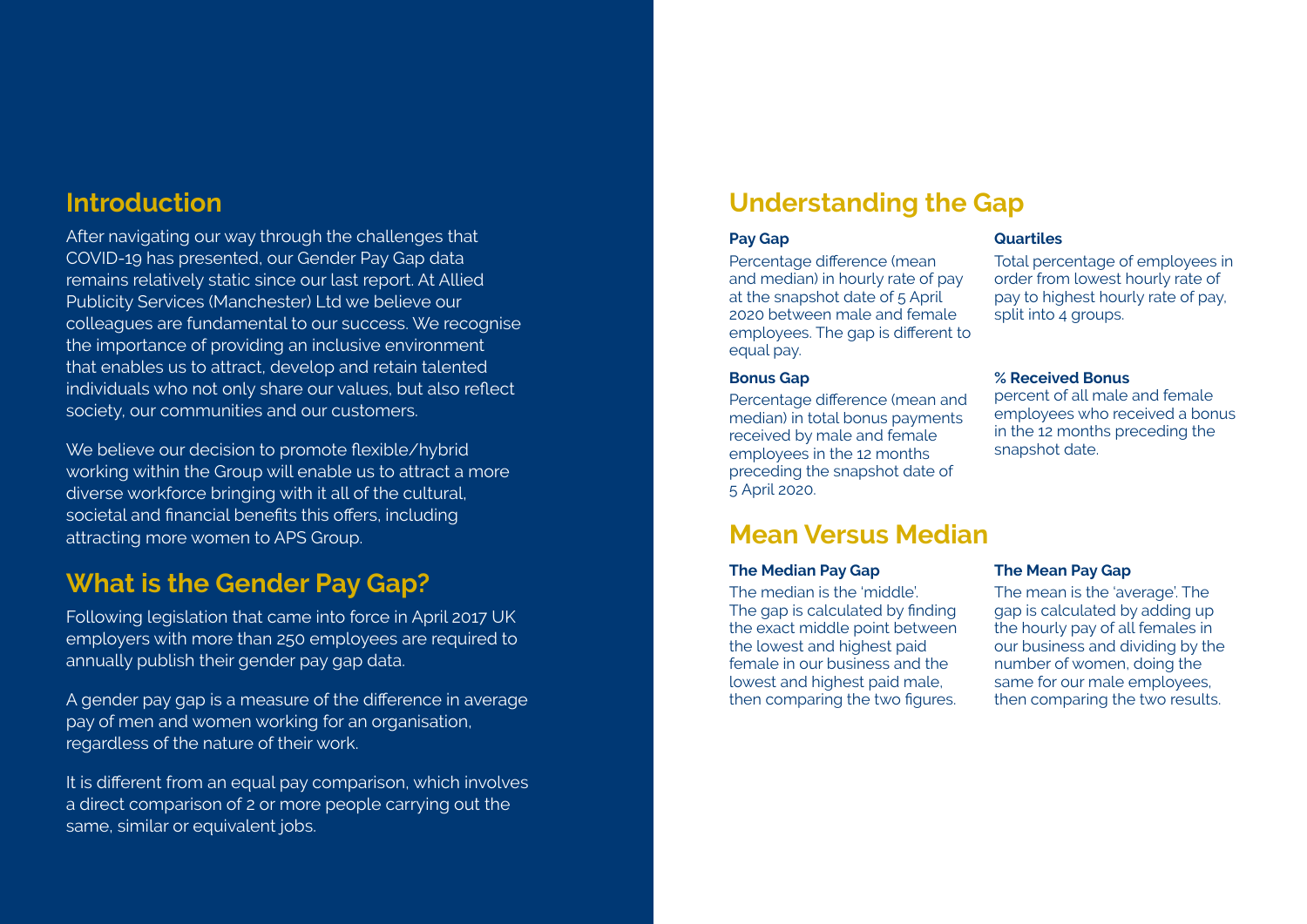# **Introduction**

After navigating our way through the challenges that COVID-19 has presented, our Gender Pay Gap data remains relatively static since our last report. At Allied Publicity Services (Manchester) Ltd we believe our colleagues are fundamental to our success. We recognise the importance of providing an inclusive environment that enables us to attract, develop and retain talented individuals who not only share our values, but also reflect society, our communities and our customers.

We believe our decision to promote flexible/hybrid working within the Group will enable us to attract a more diverse workforce bringing with it all of the cultural, societal and financial benefits this offers, including attracting more women to APS Group.

# **What is the Gender Pay Gap?**

Following legislation that came into force in April 2017 UK employers with more than 250 employees are required to annually publish their gender pay gap data.

A gender pay gap is a measure of the difference in average pay of men and women working for an organisation, regardless of the nature of their work.

It is different from an equal pay comparison, which involves a direct comparison of 2 or more people carrying out the same, similar or equivalent jobs.

# **Understanding the Gap**

### **Pay Gap**

Percentage difference (mean and median) in hourly rate of pay at the snapshot date of 5 April 2020 between male and female employees. The gap is different to equal pay.

### **Bonus Gap**

Percentage difference (mean and median) in total bonus payments received by male and female employees in the 12 months preceding the snapshot date of 5 April 2020.

# **Mean Versus Median**

### **The Median Pay Gap**

The median is the 'middle'. The gap is calculated by finding the exact middle point between the lowest and highest paid female in our business and the lowest and highest paid male. then comparing the two figures.

### **Quartiles**

Total percentage of employees in order from lowest hourly rate of pay to highest hourly rate of pay, split into 4 groups.

### **% Received Bonus**

percent of all male and female employees who received a bonus in the 12 months preceding the snapshot date.

### **The Mean Pay Gap**

The mean is the 'average'. The gap is calculated by adding up the hourly pay of all females in our business and dividing by the number of women, doing the same for our male employees, then comparing the two results.